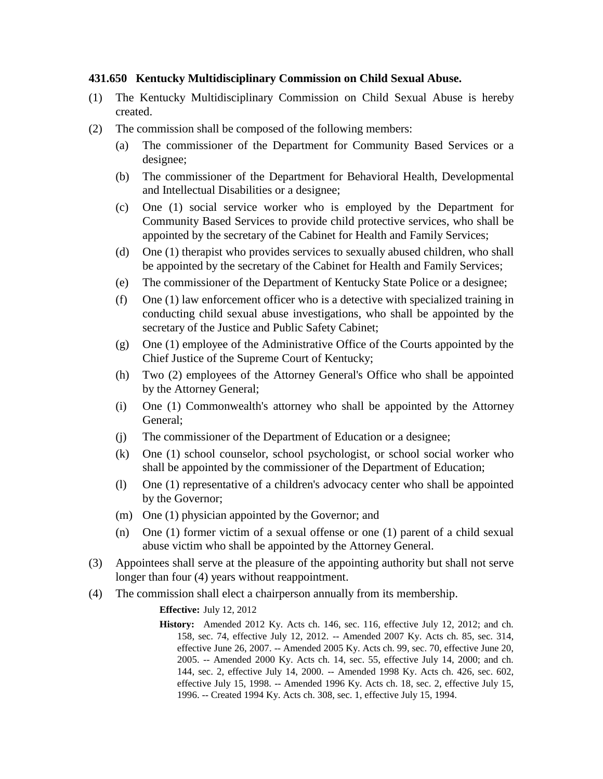## **431.650 Kentucky Multidisciplinary Commission on Child Sexual Abuse.**

- (1) The Kentucky Multidisciplinary Commission on Child Sexual Abuse is hereby created.
- (2) The commission shall be composed of the following members:
	- (a) The commissioner of the Department for Community Based Services or a designee;
	- (b) The commissioner of the Department for Behavioral Health, Developmental and Intellectual Disabilities or a designee;
	- (c) One (1) social service worker who is employed by the Department for Community Based Services to provide child protective services, who shall be appointed by the secretary of the Cabinet for Health and Family Services;
	- (d) One (1) therapist who provides services to sexually abused children, who shall be appointed by the secretary of the Cabinet for Health and Family Services;
	- (e) The commissioner of the Department of Kentucky State Police or a designee;
	- (f) One (1) law enforcement officer who is a detective with specialized training in conducting child sexual abuse investigations, who shall be appointed by the secretary of the Justice and Public Safety Cabinet;
	- (g) One (1) employee of the Administrative Office of the Courts appointed by the Chief Justice of the Supreme Court of Kentucky;
	- (h) Two (2) employees of the Attorney General's Office who shall be appointed by the Attorney General;
	- (i) One (1) Commonwealth's attorney who shall be appointed by the Attorney General;
	- (j) The commissioner of the Department of Education or a designee;
	- (k) One (1) school counselor, school psychologist, or school social worker who shall be appointed by the commissioner of the Department of Education;
	- (l) One (1) representative of a children's advocacy center who shall be appointed by the Governor;
	- (m) One (1) physician appointed by the Governor; and
	- (n) One (1) former victim of a sexual offense or one (1) parent of a child sexual abuse victim who shall be appointed by the Attorney General.
- (3) Appointees shall serve at the pleasure of the appointing authority but shall not serve longer than four (4) years without reappointment.
- (4) The commission shall elect a chairperson annually from its membership.

## **Effective:** July 12, 2012

**History:** Amended 2012 Ky. Acts ch. 146, sec. 116, effective July 12, 2012; and ch. 158, sec. 74, effective July 12, 2012. -- Amended 2007 Ky. Acts ch. 85, sec. 314, effective June 26, 2007. -- Amended 2005 Ky. Acts ch. 99, sec. 70, effective June 20, 2005. -- Amended 2000 Ky. Acts ch. 14, sec. 55, effective July 14, 2000; and ch. 144, sec. 2, effective July 14, 2000. -- Amended 1998 Ky. Acts ch. 426, sec. 602, effective July 15, 1998. -- Amended 1996 Ky. Acts ch. 18, sec. 2, effective July 15, 1996. -- Created 1994 Ky. Acts ch. 308, sec. 1, effective July 15, 1994.